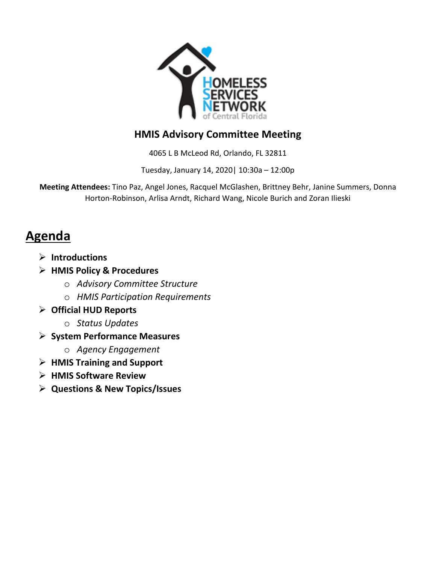

# **HMIS Advisory Committee Meeting**

4065 L B McLeod Rd, Orlando, FL 32811

Tuesday, January 14, 2020| 10:30a – 12:00p

**Meeting Attendees:** Tino Paz, Angel Jones, Racquel McGlashen, Brittney Behr, Janine Summers, Donna Horton-Robinson, Arlisa Arndt, Richard Wang, Nicole Burich and Zoran Ilieski

# **Agenda**

- **Introductions**
- **HMIS Policy & Procedures**
	- o *Advisory Committee Structure*
	- o *HMIS Participation Requirements*
- **Official HUD Reports**
	- o *Status Updates*
- **System Performance Measures**
	- o *Agency Engagement*
- **HMIS Training and Support**
- **HMIS Software Review**
- **Questions & New Topics/Issues**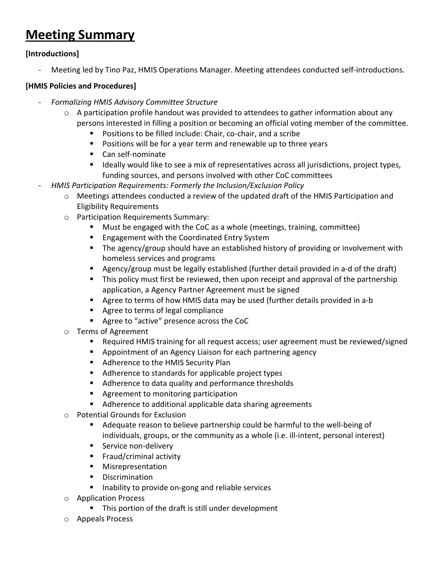# **Meeting Summary**

## **[Introductions]**

Meeting led by Tino Paz, HMIS Operations Manager. Meeting attendees conducted self-introductions.

### **[HMIS Policies and Procedures]**

- *Formalizing HMIS Advisory Committee Structure*
	- $\circ$  A participation profile handout was provided to attendees to gather information about any persons interested in filling a position or becoming an official voting member of the committee.
		- **Positions to be filled include: Chair, co-chair, and a scribe**
		- **Positions will be for a year term and renewable up to three years**
		- Can self-nominate
		- **If allocatly would like to see a mix of representatives across all jurisdictions, project types,** funding sources, and persons involved with other CoC committees
	- *HMIS Participation Requirements: Formerly the Inclusion/Exclusion Policy*
		- $\circ$  Meetings attendees conducted a review of the updated draft of the HMIS Participation and Eligibility Requirements
		- o Participation Requirements Summary:
			- Must be engaged with the CoC as a whole (meetings, training, committee)
			- **Engagement with the Coordinated Entry System**
			- The agency/group should have an established history of providing or involvement with homeless services and programs
			- Agency/group must be legally established (further detail provided in a-d of the draft)
			- This policy must first be reviewed, then upon receipt and approval of the partnership application, a Agency Partner Agreement must be signed
			- Agree to terms of how HMIS data may be used (further details provided in a-b
			- Agree to terms of legal compliance
			- Agree to "active" presence across the CoC
		- o Terms of Agreement
			- Required HMIS training for all request access; user agreement must be reviewed/signed
			- **E** Appointment of an Agency Liaison for each partnering agency
			- Adherence to the HMIS Security Plan
			- Adherence to standards for applicable project types
			- Adherence to data quality and performance thresholds
			- **Agreement to monitoring participation**
			- Adherence to additional applicable data sharing agreements
		- o Potential Grounds for Exclusion
			- Adequate reason to believe partnership could be harmful to the well-being of individuals, groups, or the community as a whole (i.e. ill-intent, personal interest)
			- **Service non-delivery**
			- **Filter Fraud/criminal activity**
			- **Misrepresentation**
			- **•** Discrimination
			- Inability to provide on-gong and reliable services
		- o Application Process
			- **This portion of the draft is still under development**
		- o Appeals Process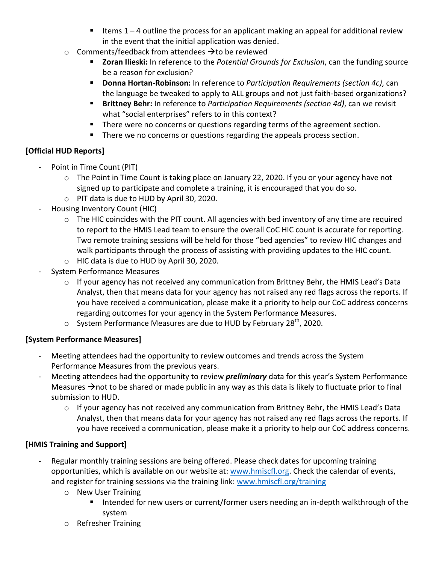- Items  $1 4$  outline the process for an applicant making an appeal for additional review in the event that the initial application was denied.
- $\circ$  Comments/feedback from attendees  $\rightarrow$  to be reviewed
	- **Zoran Ilieski:** In reference to the *Potential Grounds for Exclusion*, can the funding source be a reason for exclusion?
	- **Donna Hortan-Robinson:** In reference to *Participation Requirements (section 4c)*, can the language be tweaked to apply to ALL groups and not just faith-based organizations?
	- **Brittney Behr:** In reference to *Participation Requirements (section 4d)*, can we revisit what "social enterprises" refers to in this context?
	- **There were no concerns or questions regarding terms of the agreement section.**
	- **There we no concerns or questions regarding the appeals process section.**

# **[Official HUD Reports]**

- Point in Time Count (PIT)
	- o The Point in Time Count is taking place on January 22, 2020. If you or your agency have not signed up to participate and complete a training, it is encouraged that you do so.
	- o PIT data is due to HUD by April 30, 2020.
- Housing Inventory Count (HIC)
	- $\circ$  The HIC coincides with the PIT count. All agencies with bed inventory of any time are required to report to the HMIS Lead team to ensure the overall CoC HIC count is accurate for reporting. Two remote training sessions will be held for those "bed agencies" to review HIC changes and walk participants through the process of assisting with providing updates to the HIC count.
	- o HIC data is due to HUD by April 30, 2020.
- System Performance Measures
	- $\circ$  If your agency has not received any communication from Brittney Behr, the HMIS Lead's Data Analyst, then that means data for your agency has not raised any red flags across the reports. If you have received a communication, please make it a priority to help our CoC address concerns regarding outcomes for your agency in the System Performance Measures.
	- $\circ$  System Performance Measures are due to HUD by February 28<sup>th</sup>, 2020.

## **[System Performance Measures]**

- Meeting attendees had the opportunity to review outcomes and trends across the System Performance Measures from the previous years.
- Meeting attendees had the opportunity to review *preliminary* data for this year's System Performance Measures  $\rightarrow$  not to be shared or made public in any way as this data is likely to fluctuate prior to final submission to HUD.
	- o If your agency has not received any communication from Brittney Behr, the HMIS Lead's Data Analyst, then that means data for your agency has not raised any red flags across the reports. If you have received a communication, please make it a priority to help our CoC address concerns.

# **[HMIS Training and Support]**

- Regular monthly training sessions are being offered. Please check dates for upcoming training opportunities, which is available on our website at: [www.hmiscfl.org.](http://www.hmiscfl.org/) Check the calendar of events, and register for training sessions via the training link: [www.hmiscfl.org/training](http://www.hmiscfl.org/training)
	- o New User Training
		- Intended for new users or current/former users needing an in-depth walkthrough of the system
	- o Refresher Training